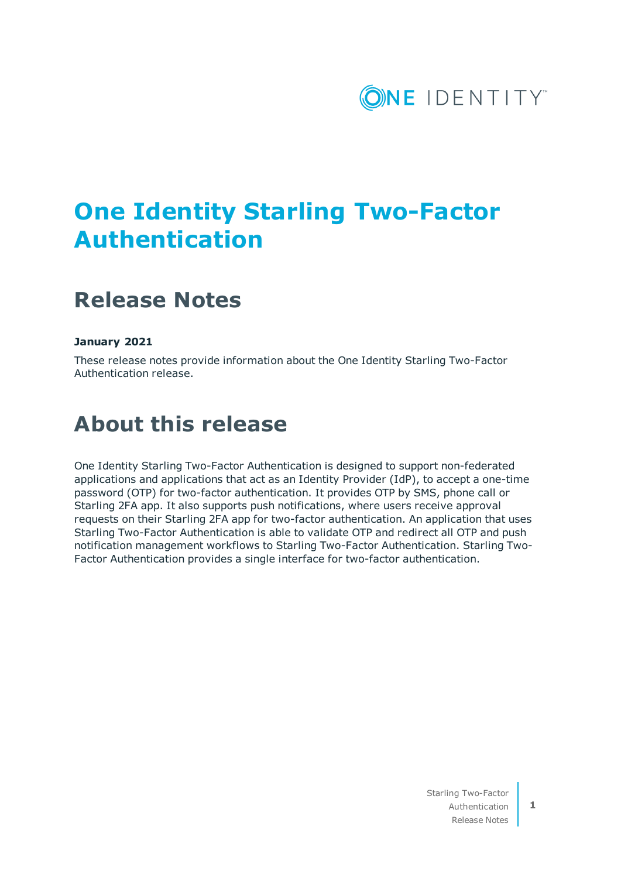

# **One Identity Starling Two-Factor Authentication**

## **Release Notes**

#### **January 2021**

These release notes provide information about the One Identity Starling Two-Factor Authentication release.

## **About this release**

One Identity Starling Two-Factor Authentication is designed to support non-federated applications and applications that act as an Identity Provider (IdP), to accept a one-time password (OTP) for two-factor authentication. It provides OTP by SMS, phone call or Starling 2FA app. It also supports push notifications, where users receive approval requests on their Starling 2FA app for two-factor authentication. An application that uses Starling Two-Factor Authentication is able to validate OTP and redirect all OTP and push notification management workflows to Starling Two-Factor Authentication. Starling Two-Factor Authentication provides a single interface for two-factor authentication.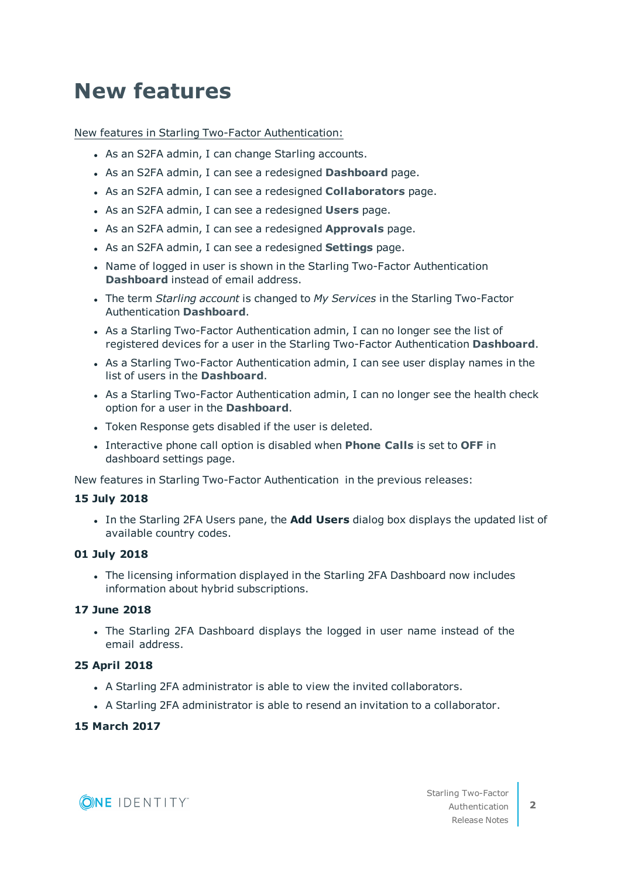# **New features**

New features in Starling Two-Factor Authentication:

- As an S2FA admin, I can change Starling accounts.
- **As an S2FA admin, I can see a redesigned Dashboard page.**
- <sup>l</sup> As an S2FA admin, I can see a redesigned **Collaborators** page.
- **.** As an S2FA admin, I can see a redesigned **Users** page.
- **.** As an S2FA admin, I can see a redesigned **Approvals** page.
- **.** As an S2FA admin, I can see a redesigned **Settings** page.
- Name of logged in user is shown in the Starling Two-Factor Authentication **Dashboard** instead of email address.
- <sup>l</sup> The term *Starling account* is changed to *My Services* in the Starling Two-Factor Authentication **Dashboard**.
- As a Starling Two-Factor Authentication admin, I can no longer see the list of registered devices for a user in the Starling Two-Factor Authentication **Dashboard**.
- As a Starling Two-Factor Authentication admin, I can see user display names in the list of users in the **Dashboard**.
- As a Starling Two-Factor Authentication admin, I can no longer see the health check option for a user in the **Dashboard**.
- Token Response gets disabled if the user is deleted.
- <sup>l</sup> Interactive phone call option is disabled when **Phone Calls** is set to **OFF** in dashboard settings page.

New features in Starling Two-Factor Authentication in the previous releases:

#### **15 July 2018**

<sup>l</sup> In the Starling 2FA Users pane, the **Add Users** dialog box displays the updated list of available country codes.

#### **01 July 2018**

• The licensing information displayed in the Starling 2FA Dashboard now includes information about hybrid subscriptions.

#### **17 June 2018**

• The Starling 2FA Dashboard displays the logged in user name instead of the email address.

#### **25 April 2018**

- A Starling 2FA administrator is able to view the invited collaborators.
- A Starling 2FA administrator is able to resend an invitation to a collaborator.

#### **15 March 2017**

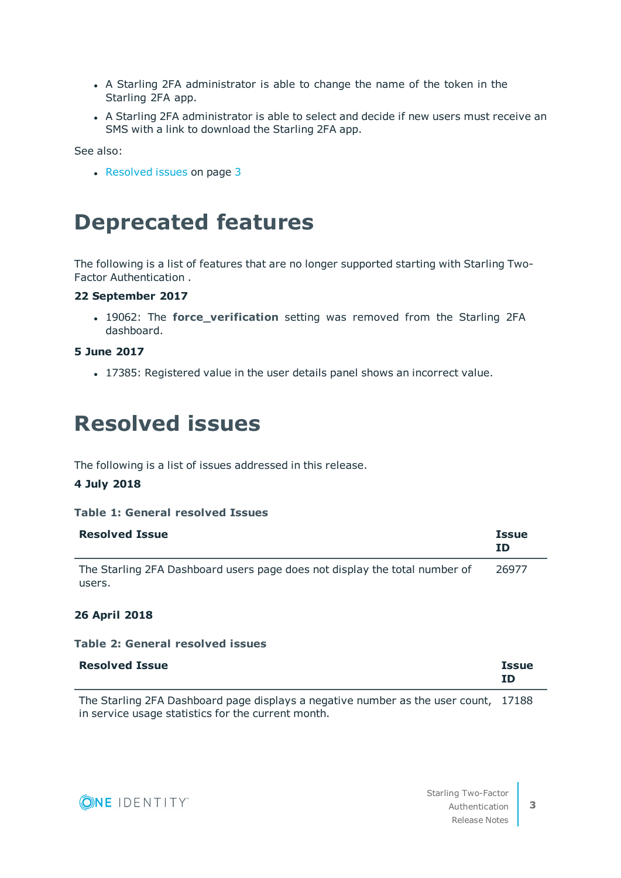- A Starling 2FA administrator is able to change the name of the token in the Starling 2FA app.
- A Starling 2FA administrator is able to select and decide if new users must receive an SMS with a link to download the Starling 2FA app.

See also:

• [Resolved](#page-2-0) issues on page 3

### **Deprecated features**

The following is a list of features that are no longer supported starting with Starling Two-Factor Authentication .

### **22 September 2017**

**.** 19062: The **force\_verification** setting was removed from the Starling 2FA dashboard.

#### **5 June 2017**

<span id="page-2-0"></span>• 17385: Registered value in the user details panel shows an incorrect value.

## **Resolved issues**

The following is a list of issues addressed in this release.

#### **4 July 2018**

#### **Table 1: General resolved Issues**

| <b>Resolved Issue</b>                                                      | <b>Issue</b><br>ΙD |
|----------------------------------------------------------------------------|--------------------|
| The Starling 2FA Dashboard users page does not display the total number of | 26977              |
| users.                                                                     |                    |

#### **26 April 2018**

#### **Table 2: General resolved issues**

| <b>Resolved Issue</b> | <b>Issue</b> |
|-----------------------|--------------|
|                       | ΙD           |
|                       |              |

The Starling 2FA Dashboard page displays a negative number as the user count, 17188 in service usage statistics for the current month.

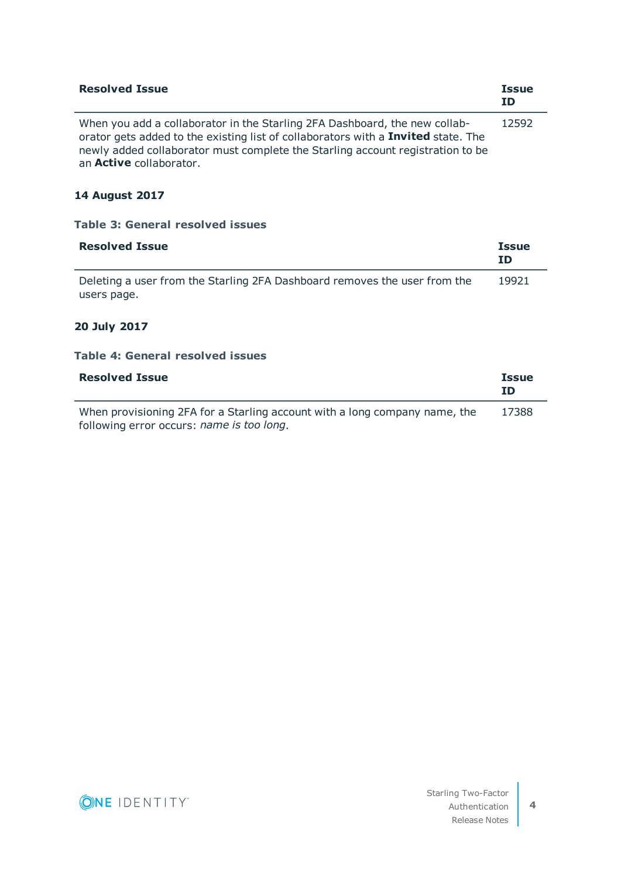| <b>Resolved Issue</b>                                                                                                                                                                                                                                                               | <b>Issue</b><br>ΙD |
|-------------------------------------------------------------------------------------------------------------------------------------------------------------------------------------------------------------------------------------------------------------------------------------|--------------------|
| When you add a collaborator in the Starling 2FA Dashboard, the new collab-<br>orator gets added to the existing list of collaborators with a Invited state. The<br>newly added collaborator must complete the Starling account registration to be<br>an <b>Active</b> collaborator. | 12592              |

### **14 August 2017**

| Table 3: General resolved issues                                                         |                    |
|------------------------------------------------------------------------------------------|--------------------|
| <b>Resolved Issue</b>                                                                    | <b>Issue</b><br>ID |
| Deleting a user from the Starling 2FA Dashboard removes the user from the<br>users page. | 19921              |

### **20 July 2017**

#### **Table 4: General resolved issues**

| <b>Resolved Issue</b>                                                                                                   | <b>Issue</b><br>ΙD |
|-------------------------------------------------------------------------------------------------------------------------|--------------------|
| When provisioning 2FA for a Starling account with a long company name, the<br>following error occurs: name is too long. | 17388              |

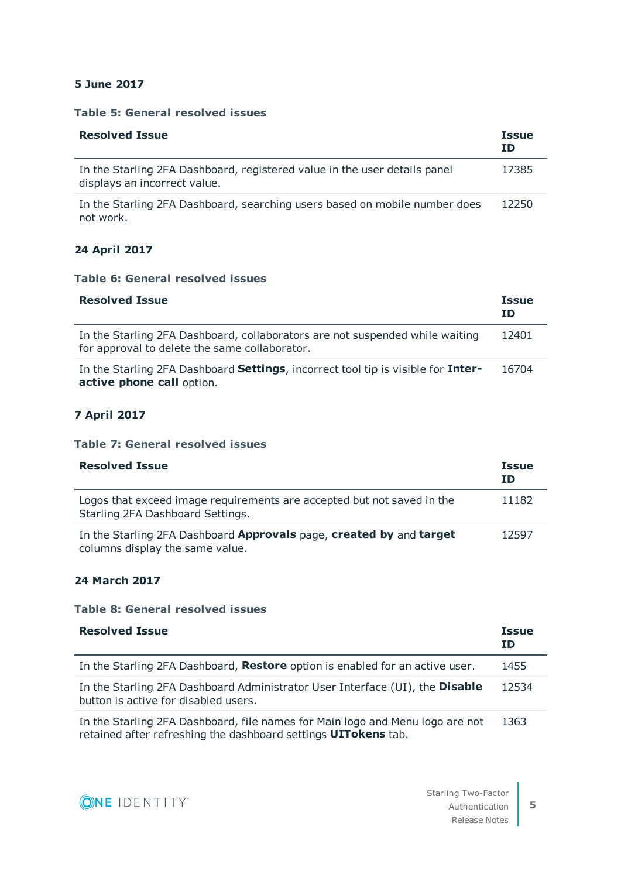#### **5 June 2017**

#### **Table 5: General resolved issues**

| <b>Resolved Issue</b>                                                                                     | <b>Issue</b><br>ΙD |
|-----------------------------------------------------------------------------------------------------------|--------------------|
| In the Starling 2FA Dashboard, registered value in the user details panel<br>displays an incorrect value. | 17385              |
| In the Starling 2FA Dashboard, searching users based on mobile number does<br>not work.                   | 12250              |

#### **24 April 2017**

#### **Table 6: General resolved issues**

| <b>Resolved Issue</b>                                                                                                         | <b>Issue</b><br>ΙD |
|-------------------------------------------------------------------------------------------------------------------------------|--------------------|
| In the Starling 2FA Dashboard, collaborators are not suspended while waiting<br>for approval to delete the same collaborator. | 12401              |
| In the Starling 2FA Dashboard Settings, incorrect tool tip is visible for Inter-<br>active phone call option.                 | 16704              |

### **7 April 2017**

#### **Table 7: General resolved issues**

| <b>Resolved Issue</b>                                                                                      | <b>Issue</b><br>ΙD |
|------------------------------------------------------------------------------------------------------------|--------------------|
| Logos that exceed image requirements are accepted but not saved in the<br>Starling 2FA Dashboard Settings. | 11182              |
| In the Starling 2FA Dashboard Approvals page, created by and target<br>columns display the same value.     | 12597              |

#### **24 March 2017**

#### **Table 8: General resolved issues**

| <b>Resolved Issue</b>                                                                                                | <b>Issue</b><br>ID |
|----------------------------------------------------------------------------------------------------------------------|--------------------|
| In the Starling 2FA Dashboard, Restore option is enabled for an active user.                                         | 1455               |
| In the Starling 2FA Dashboard Administrator User Interface (UI), the Disable<br>button is active for disabled users. | 12534              |
| In the Starling 2FA Dashboard, file names for Main logo and Menu logo are not                                        | 1363               |

retained after refreshing the dashboard settings **UITokens** tab.

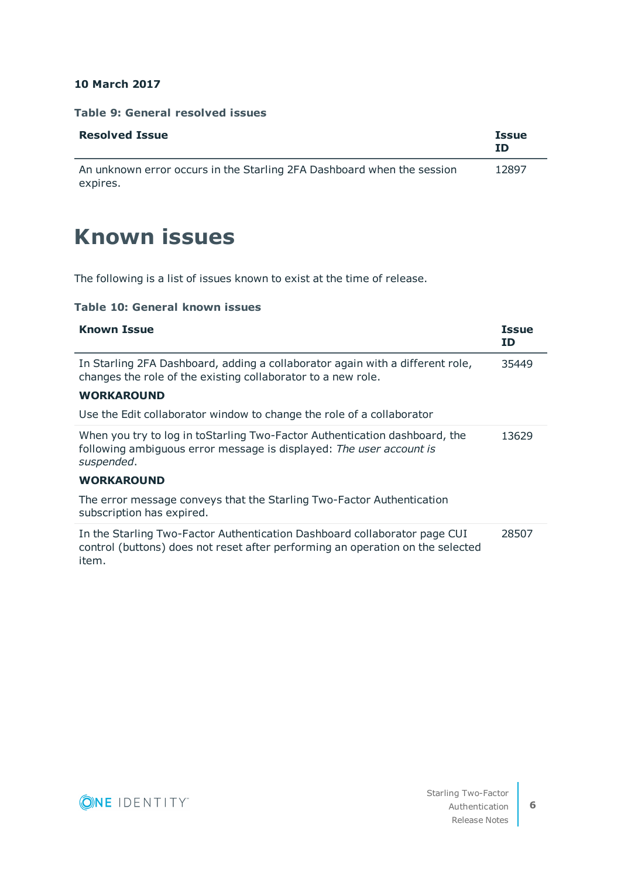#### **10 March 2017**

expires.

#### **Table 9: General resolved issues**

| <b>Resolved Issue</b>                                                  | <b>Issue</b><br>ΙD |
|------------------------------------------------------------------------|--------------------|
| An unknown error occurs in the Starling 2FA Dashboard when the session | 12897              |

## **Known issues**

The following is a list of issues known to exist at the time of release.

#### **Table 10: General known issues**

| <b>Known Issue</b>                                                                                                                                                   | <b>Issue</b><br>ID |
|----------------------------------------------------------------------------------------------------------------------------------------------------------------------|--------------------|
| In Starling 2FA Dashboard, adding a collaborator again with a different role,<br>changes the role of the existing collaborator to a new role.                        | 35449              |
| <b>WORKAROUND</b>                                                                                                                                                    |                    |
| Use the Edit collaborator window to change the role of a collaborator                                                                                                |                    |
| When you try to log in to Starling Two-Factor Authentication dashboard, the<br>following ambiguous error message is displayed: The user account is<br>suspended.     | 13629              |
| <b>WORKAROUND</b>                                                                                                                                                    |                    |
| The error message conveys that the Starling Two-Factor Authentication<br>subscription has expired.                                                                   |                    |
| In the Starling Two-Factor Authentication Dashboard collaborator page CUI<br>control (buttons) does not reset after performing an operation on the selected<br>item. | 28507              |

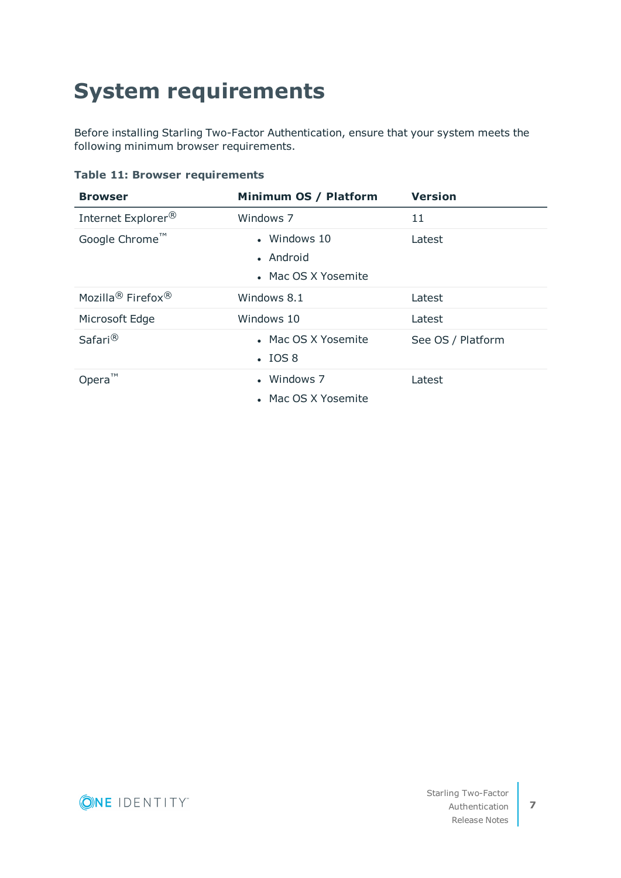# **System requirements**

Before installing Starling Two-Factor Authentication, ensure that your system meets the following minimum browser requirements.

#### **Table 11: Browser requirements**

| <b>Browser</b>                            | Minimum OS / Platform                            | <b>Version</b>    |
|-------------------------------------------|--------------------------------------------------|-------------------|
| Internet Explorer <sup>®</sup>            | Windows 7                                        | 11                |
| Google Chrome™                            | • Windows 10<br>• Android<br>• Mac OS X Yosemite | Latest            |
| Mozilla <sup>®</sup> Firefox <sup>®</sup> | Windows 8.1                                      | Latest            |
| Microsoft Edge                            | Windows 10                                       | Latest            |
| Safari <sup>®</sup>                       | • Mac OS X Yosemite<br>$\cdot$ IOS 8             | See OS / Platform |
| TM<br>Opera                               | • Windows 7<br>• Mac OS X Yosemite               | Latest            |

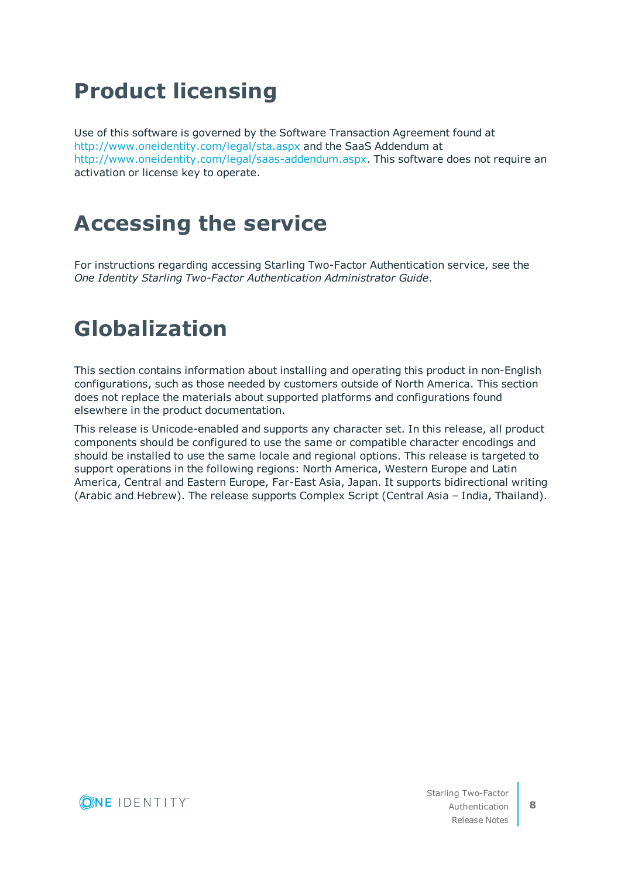# **Product licensing**

Use of this software is governed by the Software Transaction Agreement found at <http://www.oneidentity.com/legal/sta.aspx> and the SaaS Addendum at [http://www.oneidentity.com/legal/saas-addendum.aspx.](http://www.oneidentity.com/legal/saas-addendum.aspx) This software does not require an activation or license key to operate.

# **Accessing the service**

For instructions regarding accessing Starling Two-Factor Authentication service, see the *One Identity Starling Two-Factor Authentication Administrator Guide*.

## **Globalization**

This section contains information about installing and operating this product in non-English configurations, such as those needed by customers outside of North America. This section does not replace the materials about supported platforms and configurations found elsewhere in the product documentation.

This release is Unicode-enabled and supports any character set. In this release, all product components should be configured to use the same or compatible character encodings and should be installed to use the same locale and regional options. This release is targeted to support operations in the following regions: North America, Western Europe and Latin America, Central and Eastern Europe, Far-East Asia, Japan. It supports bidirectional writing (Arabic and Hebrew). The release supports Complex Script (Central Asia – India, Thailand).

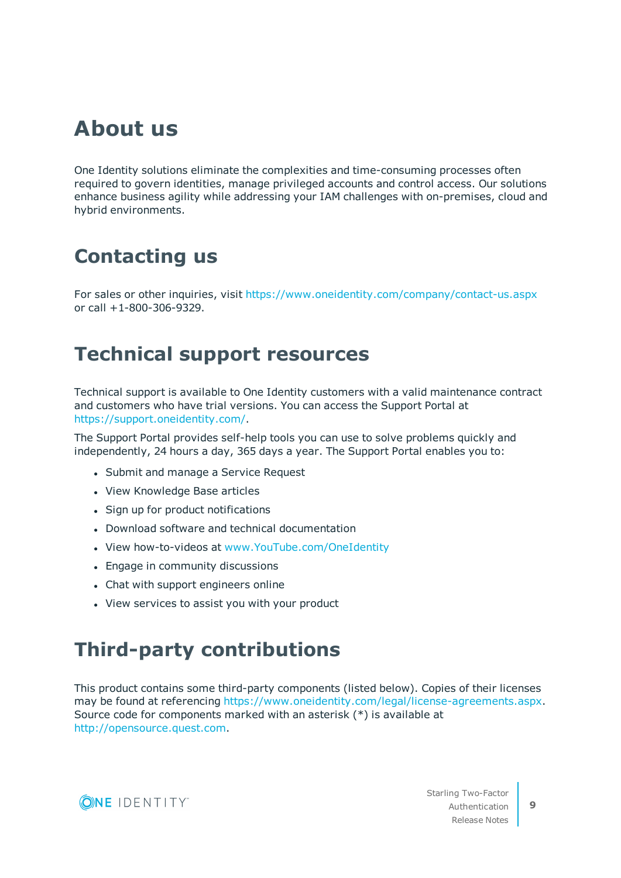## **About us**

One Identity solutions eliminate the complexities and time-consuming processes often required to govern identities, manage privileged accounts and control access. Our solutions enhance business agility while addressing your IAM challenges with on-premises, cloud and hybrid environments.

## **Contacting us**

For sales or other inquiries, visit <https://www.oneidentity.com/company/contact-us.aspx> or call +1-800-306-9329.

### **Technical support resources**

Technical support is available to One Identity customers with a valid maintenance contract and customers who have trial versions. You can access the Support Portal at [https://support.oneidentity.com/.](https://support.oneidentity.com/)

The Support Portal provides self-help tools you can use to solve problems quickly and independently, 24 hours a day, 365 days a year. The Support Portal enables you to:

- Submit and manage a Service Request
- View Knowledge Base articles
- Sign up for product notifications
- Download software and technical documentation
- View how-to-videos at [www.YouTube.com/OneIdentity](http://www.youtube.com/OneIdentity)
- Engage in community discussions
- Chat with support engineers online
- View services to assist you with your product

## **Third-party contributions**

This product contains some third-party components (listed below). Copies of their licenses may be found at referencing [https://www.oneidentity.com/legal/license-agreements.aspx.](https://www.oneidentity.com/legal/license-agreements.aspx) Source code for components marked with an asterisk (\*) is available at [http://opensource.quest.com.](http://opensource.quest.com/)

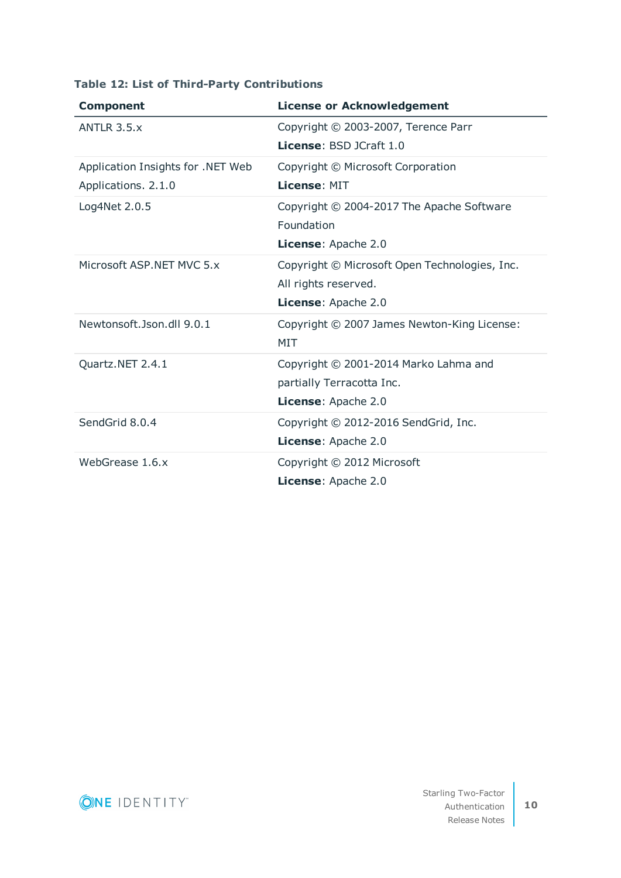| <b>Component</b>                  | <b>License or Acknowledgement</b>             |
|-----------------------------------|-----------------------------------------------|
| ANTLR $3.5.x$                     | Copyright © 2003-2007, Terence Parr           |
|                                   | <b>License: BSD JCraft 1.0</b>                |
| Application Insights for .NET Web | Copyright © Microsoft Corporation             |
| Applications. 2.1.0               | License: MIT                                  |
| Log4Net 2.0.5                     | Copyright © 2004-2017 The Apache Software     |
|                                   | Foundation                                    |
|                                   | License: Apache 2.0                           |
| Microsoft ASP. NET MVC 5.x        | Copyright © Microsoft Open Technologies, Inc. |
|                                   | All rights reserved.                          |
|                                   | License: Apache 2.0                           |
| Newtonsoft.Json.dll 9.0.1         | Copyright © 2007 James Newton-King License:   |
|                                   | MIT                                           |
| Quartz.NET 2.4.1                  | Copyright © 2001-2014 Marko Lahma and         |
|                                   | partially Terracotta Inc.                     |
|                                   | License: Apache 2.0                           |
| SendGrid 8.0.4                    | Copyright © 2012-2016 SendGrid, Inc.          |
|                                   | License: Apache 2.0                           |
| WebGrease 1.6.x                   | Copyright © 2012 Microsoft                    |
|                                   | License: Apache 2.0                           |

### **Table 12: List of Third-Party Contributions**